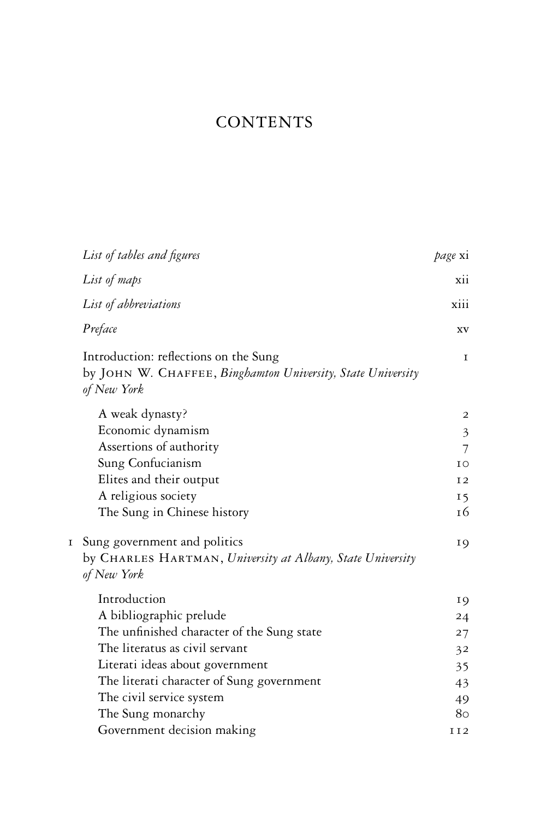## **CONTENTS**

|   | List of tables and figures                                                                                          | <i>page</i> xi  |
|---|---------------------------------------------------------------------------------------------------------------------|-----------------|
|   | List of maps                                                                                                        | xii             |
|   | List of abbreviations                                                                                               | xiii            |
|   | Preface                                                                                                             | XV              |
|   | Introduction: reflections on the Sung<br>by JOHN W. CHAFFEE, Binghamton University, State University<br>of New York | 1               |
|   | A weak dynasty?                                                                                                     | 2               |
|   | Economic dynamism                                                                                                   | $\mathfrak{Z}$  |
|   | Assertions of authority                                                                                             | 7               |
|   | Sung Confucianism                                                                                                   | ΙO              |
|   | Elites and their output                                                                                             | 12              |
|   | A religious society                                                                                                 | 15              |
|   | The Sung in Chinese history                                                                                         | 16              |
| I | Sung government and politics<br>by CHARLES HARTMAN, University at Albany, State University<br>of New York           | 19              |
|   | Introduction                                                                                                        | 19              |
|   | A bibliographic prelude                                                                                             | 24              |
|   | The unfinished character of the Sung state                                                                          | 27              |
|   | The literatus as civil servant                                                                                      | 32              |
|   | Literati ideas about government                                                                                     | 35              |
|   | The literati character of Sung government                                                                           | 43              |
|   | The civil service system                                                                                            | 49              |
|   | The Sung monarchy                                                                                                   | 80              |
|   | Government decision making                                                                                          | II <sub>2</sub> |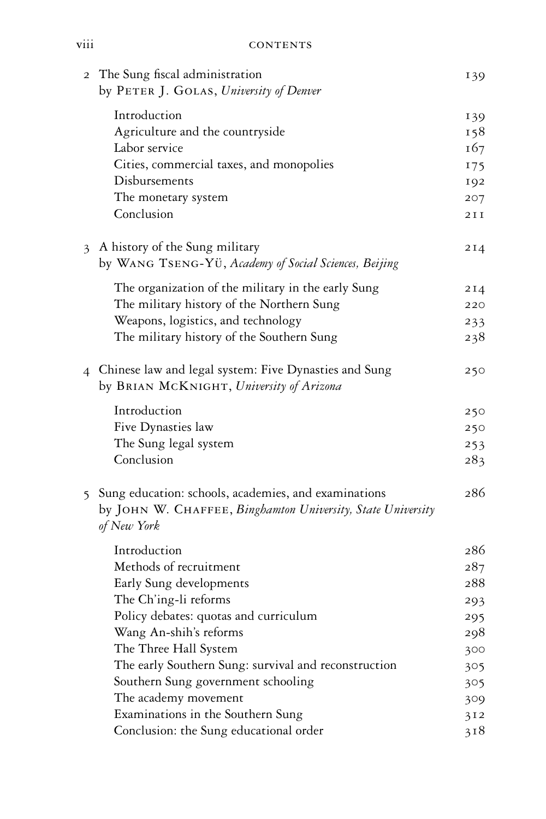| $\overline{2}$ | The Sung fiscal administration<br>by PETER J. GOLAS, University of Denver  | 139   |
|----------------|----------------------------------------------------------------------------|-------|
|                | Introduction                                                               | 139   |
|                | Agriculture and the countryside                                            | 158   |
|                | Labor service                                                              | 167   |
|                | Cities, commercial taxes, and monopolies                                   | I75   |
|                | Disbursements                                                              | 192   |
|                | The monetary system                                                        | 207   |
|                | Conclusion                                                                 | 2 I I |
| 3              | A history of the Sung military                                             | 2I4   |
|                | by WANG TSENG-YÜ, Academy of Social Sciences, Beijing                      |       |
|                | The organization of the military in the early Sung                         | 214   |
|                | The military history of the Northern Sung                                  | 220   |
|                | Weapons, logistics, and technology                                         | 233   |
|                | The military history of the Southern Sung                                  | 238   |
|                | 4 Chinese law and legal system: Five Dynasties and Sung                    | 250   |
|                | by BRIAN MCKNIGHT, University of Arizona                                   |       |
|                | Introduction                                                               | 250   |
|                | Five Dynasties law                                                         | 250   |
|                | The Sung legal system                                                      | 253   |
|                | Conclusion                                                                 | 283   |
|                | 5 Sung education: schools, academies, and examinations                     | 286   |
|                | by JOHN W. CHAFFEE, Binghamton University, State University<br>of New York |       |
|                | Introduction                                                               | 286   |
|                | Methods of recruitment                                                     | 287   |
|                | Early Sung developments                                                    | 288   |
|                | The Ch'ing-li reforms                                                      | 293   |
|                | Policy debates: quotas and curriculum                                      | 295   |
|                | Wang An-shih's reforms                                                     | 298   |
|                | The Three Hall System                                                      | 300   |
|                | The early Southern Sung: survival and reconstruction                       | 305   |
|                | Southern Sung government schooling                                         | 305   |
|                | The academy movement                                                       | 309   |
|                | Examinations in the Southern Sung                                          | 312   |
|                | Conclusion: the Sung educational order                                     | 318   |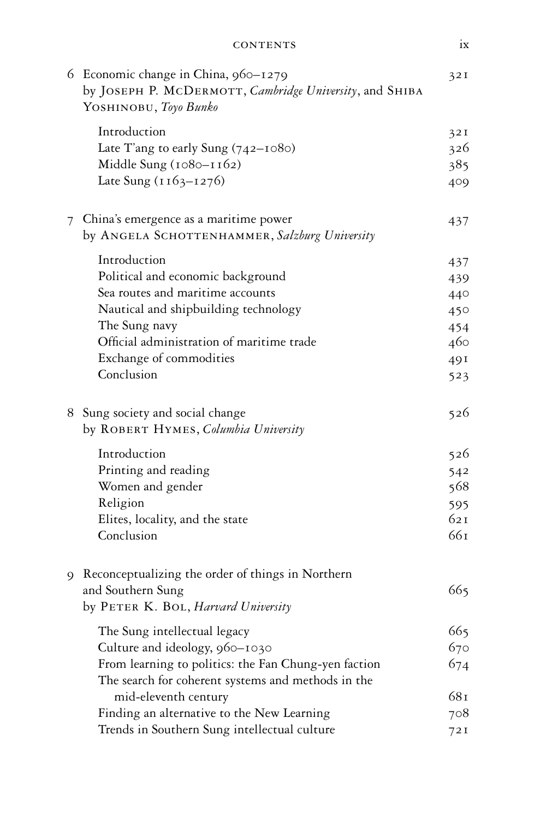|   | 6 Economic change in China, 960-1279<br>by JOSEPH P. MCDERMOTT, Cambridge University, and SHIBA<br>YOSHINOBU, Toyo Bunko | 32I  |
|---|--------------------------------------------------------------------------------------------------------------------------|------|
|   | Introduction                                                                                                             | 32I  |
|   | Late T'ang to early Sung (742-1080)                                                                                      | 326  |
|   | Middle Sung $(1080 - 1162)$                                                                                              | 385  |
|   | Late Sung (1163-1276)                                                                                                    | 409  |
| 7 | China's emergence as a maritime power                                                                                    | 437  |
|   | by ANGELA SCHOTTENHAMMER, Salzburg University                                                                            |      |
|   | Introduction                                                                                                             | 437  |
|   | Political and economic background                                                                                        | 439  |
|   | Sea routes and maritime accounts                                                                                         | 440  |
|   | Nautical and shipbuilding technology                                                                                     | 450  |
|   | The Sung navy                                                                                                            | 454  |
|   | Official administration of maritime trade                                                                                | 460  |
|   | Exchange of commodities                                                                                                  | 49 I |
|   | Conclusion                                                                                                               | 523  |
|   | 8 Sung society and social change                                                                                         | 526  |
|   | by ROBERT HYMES, Columbia University                                                                                     |      |
|   | Introduction                                                                                                             | 526  |
|   | Printing and reading                                                                                                     | 542  |
|   | Women and gender                                                                                                         | 568  |
|   | Religion                                                                                                                 | 595  |
|   | Elites, locality, and the state                                                                                          | 621  |
|   | Conclusion                                                                                                               | 661  |
| 9 | Reconceptualizing the order of things in Northern                                                                        |      |
|   | and Southern Sung                                                                                                        | 665  |
|   | by PETER K. BOL, Harvard University                                                                                      |      |
|   | The Sung intellectual legacy                                                                                             | 665  |
|   | Culture and ideology, 960-1030                                                                                           | 670  |
|   | From learning to politics: the Fan Chung-yen faction<br>The search for coherent systems and methods in the               | 674  |
|   | mid-eleventh century                                                                                                     | 681  |
|   | Finding an alternative to the New Learning                                                                               | 708  |
|   | Trends in Southern Sung intellectual culture                                                                             | 72I  |
|   |                                                                                                                          |      |